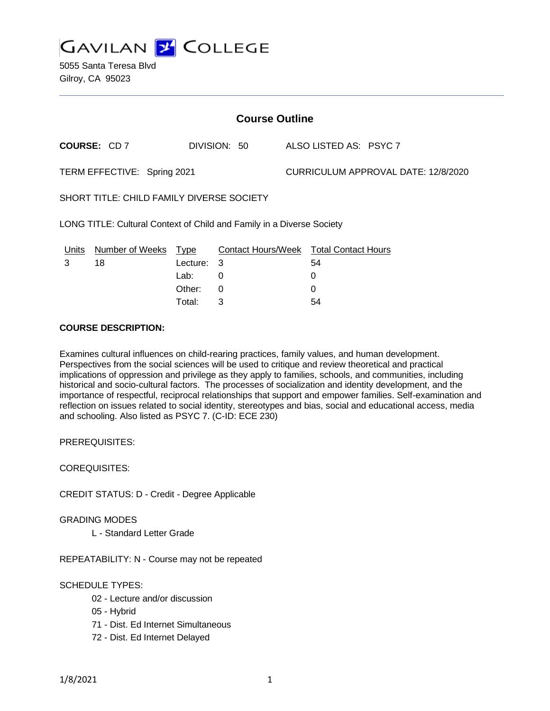

| <b>Course Outline</b>                                                 |                      |            |              |  |                                        |
|-----------------------------------------------------------------------|----------------------|------------|--------------|--|----------------------------------------|
|                                                                       | COURSE: CD7          |            | DIVISION: 50 |  | ALSO LISTED AS: PSYC 7                 |
| TERM EFFECTIVE: Spring 2021                                           |                      |            |              |  | CURRICULUM APPROVAL DATE: 12/8/2020    |
| SHORT TITLE: CHILD FAMILY DIVERSE SOCIETY                             |                      |            |              |  |                                        |
| LONG TITLE: Cultural Context of Child and Family in a Diverse Society |                      |            |              |  |                                        |
| <u>Units</u>                                                          | Number of Weeks Type |            |              |  | Contact Hours/Week Total Contact Hours |
| 3                                                                     | 18                   | Lecture: 3 |              |  | 54                                     |
|                                                                       |                      | Lab: .     | 0            |  | 0                                      |
|                                                                       |                      | Other:     | $\Omega$     |  | 0                                      |
|                                                                       |                      | Total:     | 3            |  | 54                                     |

#### **COURSE DESCRIPTION:**

Examines cultural influences on child-rearing practices, family values, and human development. Perspectives from the social sciences will be used to critique and review theoretical and practical implications of oppression and privilege as they apply to families, schools, and communities, including historical and socio-cultural factors. The processes of socialization and identity development, and the importance of respectful, reciprocal relationships that support and empower families. Self-examination and reflection on issues related to social identity, stereotypes and bias, social and educational access, media and schooling. Also listed as PSYC 7. (C-ID: ECE 230)

PREREQUISITES:

COREQUISITES:

CREDIT STATUS: D - Credit - Degree Applicable

GRADING MODES

L - Standard Letter Grade

REPEATABILITY: N - Course may not be repeated

### SCHEDULE TYPES:

- 02 Lecture and/or discussion
- 05 Hybrid
- 71 Dist. Ed Internet Simultaneous
- 72 Dist. Ed Internet Delayed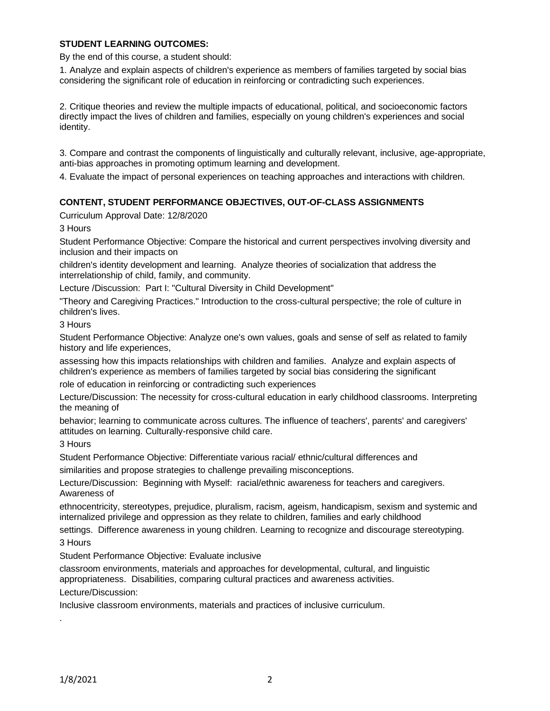### **STUDENT LEARNING OUTCOMES:**

By the end of this course, a student should:

1. Analyze and explain aspects of children's experience as members of families targeted by social bias considering the significant role of education in reinforcing or contradicting such experiences.

2. Critique theories and review the multiple impacts of educational, political, and socioeconomic factors directly impact the lives of children and families, especially on young children's experiences and social identity.

3. Compare and contrast the components of linguistically and culturally relevant, inclusive, age-appropriate, anti-bias approaches in promoting optimum learning and development.

4. Evaluate the impact of personal experiences on teaching approaches and interactions with children.

### **CONTENT, STUDENT PERFORMANCE OBJECTIVES, OUT-OF-CLASS ASSIGNMENTS**

Curriculum Approval Date: 12/8/2020

3 Hours

Student Performance Objective: Compare the historical and current perspectives involving diversity and inclusion and their impacts on

children's identity development and learning. Analyze theories of socialization that address the interrelationship of child, family, and community.

Lecture /Discussion: Part I: "Cultural Diversity in Child Development"

"Theory and Caregiving Practices." Introduction to the cross-cultural perspective; the role of culture in children's lives.

3 Hours

Student Performance Objective: Analyze one's own values, goals and sense of self as related to family history and life experiences,

assessing how this impacts relationships with children and families. Analyze and explain aspects of children's experience as members of families targeted by social bias considering the significant

role of education in reinforcing or contradicting such experiences

Lecture/Discussion: The necessity for cross-cultural education in early childhood classrooms. Interpreting the meaning of

behavior; learning to communicate across cultures. The influence of teachers', parents' and caregivers' attitudes on learning. Culturally-responsive child care.

3 Hours

Student Performance Objective: Differentiate various racial/ ethnic/cultural differences and

similarities and propose strategies to challenge prevailing misconceptions.

Lecture/Discussion: Beginning with Myself: racial/ethnic awareness for teachers and caregivers. Awareness of

ethnocentricity, stereotypes, prejudice, pluralism, racism, ageism, handicapism, sexism and systemic and internalized privilege and oppression as they relate to children, families and early childhood

settings. Difference awareness in young children. Learning to recognize and discourage stereotyping.

3 Hours

Student Performance Objective: Evaluate inclusive

classroom environments, materials and approaches for developmental, cultural, and linguistic appropriateness. Disabilities, comparing cultural practices and awareness activities.

Lecture/Discussion:

Inclusive classroom environments, materials and practices of inclusive curriculum.

.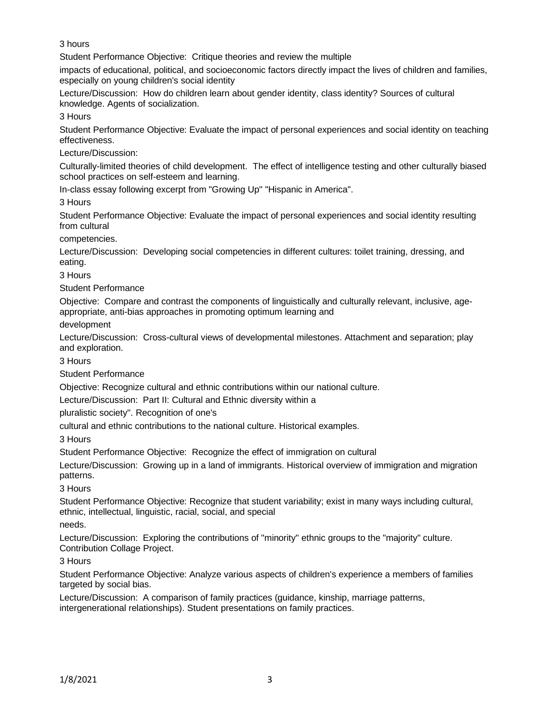3 hours

Student Performance Objective: Critique theories and review the multiple

impacts of educational, political, and socioeconomic factors directly impact the lives of children and families, especially on young children's social identity

Lecture/Discussion: How do children learn about gender identity, class identity? Sources of cultural knowledge. Agents of socialization.

3 Hours

Student Performance Objective: Evaluate the impact of personal experiences and social identity on teaching effectiveness.

Lecture/Discussion:

Culturally-limited theories of child development. The effect of intelligence testing and other culturally biased school practices on self-esteem and learning.

In-class essay following excerpt from "Growing Up" "Hispanic in America".

3 Hours

Student Performance Objective: Evaluate the impact of personal experiences and social identity resulting from cultural

competencies.

Lecture/Discussion: Developing social competencies in different cultures: toilet training, dressing, and eating.

3 Hours

Student Performance

Objective: Compare and contrast the components of linguistically and culturally relevant, inclusive, ageappropriate, anti-bias approaches in promoting optimum learning and

development

Lecture/Discussion: Cross-cultural views of developmental milestones. Attachment and separation; play and exploration.

3 Hours

Student Performance

Objective: Recognize cultural and ethnic contributions within our national culture.

Lecture/Discussion: Part II: Cultural and Ethnic diversity within a

pluralistic society". Recognition of one's

cultural and ethnic contributions to the national culture. Historical examples.

3 Hours

Student Performance Objective: Recognize the effect of immigration on cultural

Lecture/Discussion: Growing up in a land of immigrants. Historical overview of immigration and migration patterns.

3 Hours

Student Performance Objective: Recognize that student variability; exist in many ways including cultural, ethnic, intellectual, linguistic, racial, social, and special

needs.

Lecture/Discussion: Exploring the contributions of "minority" ethnic groups to the "majority" culture. Contribution Collage Project.

3 Hours

Student Performance Objective: Analyze various aspects of children's experience a members of families targeted by social bias.

Lecture/Discussion: A comparison of family practices (guidance, kinship, marriage patterns, intergenerational relationships). Student presentations on family practices.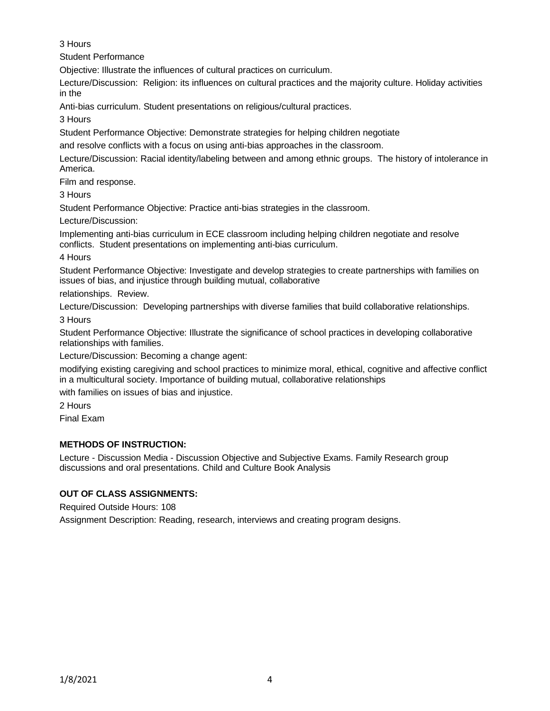3 Hours

Student Performance

Objective: Illustrate the influences of cultural practices on curriculum.

Lecture/Discussion: Religion: its influences on cultural practices and the majority culture. Holiday activities in the

Anti-bias curriculum. Student presentations on religious/cultural practices.

3 Hours

Student Performance Objective: Demonstrate strategies for helping children negotiate

and resolve conflicts with a focus on using anti-bias approaches in the classroom.

Lecture/Discussion: Racial identity/labeling between and among ethnic groups. The history of intolerance in America.

Film and response.

3 Hours

Student Performance Objective: Practice anti-bias strategies in the classroom.

Lecture/Discussion:

Implementing anti-bias curriculum in ECE classroom including helping children negotiate and resolve conflicts. Student presentations on implementing anti-bias curriculum.

4 Hours

Student Performance Objective: Investigate and develop strategies to create partnerships with families on issues of bias, and injustice through building mutual, collaborative

relationships. Review.

Lecture/Discussion: Developing partnerships with diverse families that build collaborative relationships.

3 Hours

Student Performance Objective: Illustrate the significance of school practices in developing collaborative relationships with families.

Lecture/Discussion: Becoming a change agent:

modifying existing caregiving and school practices to minimize moral, ethical, cognitive and affective conflict in a multicultural society. Importance of building mutual, collaborative relationships

with families on issues of bias and injustice.

2 Hours

Final Exam

# **METHODS OF INSTRUCTION:**

Lecture - Discussion Media - Discussion Objective and Subjective Exams. Family Research group discussions and oral presentations. Child and Culture Book Analysis

# **OUT OF CLASS ASSIGNMENTS:**

Required Outside Hours: 108

Assignment Description: Reading, research, interviews and creating program designs.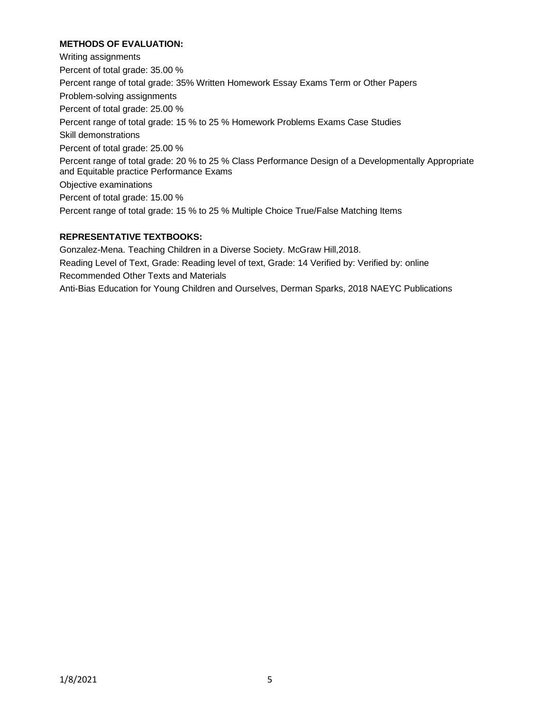### **METHODS OF EVALUATION:**

Writing assignments Percent of total grade: 35.00 % Percent range of total grade: 35% Written Homework Essay Exams Term or Other Papers Problem-solving assignments Percent of total grade: 25.00 % Percent range of total grade: 15 % to 25 % Homework Problems Exams Case Studies Skill demonstrations Percent of total grade: 25.00 % Percent range of total grade: 20 % to 25 % Class Performance Design of a Developmentally Appropriate and Equitable practice Performance Exams Objective examinations Percent of total grade: 15.00 % Percent range of total grade: 15 % to 25 % Multiple Choice True/False Matching Items

# **REPRESENTATIVE TEXTBOOKS:**

Gonzalez-Mena. Teaching Children in a Diverse Society. McGraw Hill,2018. Reading Level of Text, Grade: Reading level of text, Grade: 14 Verified by: Verified by: online Recommended Other Texts and Materials Anti-Bias Education for Young Children and Ourselves, Derman Sparks, 2018 NAEYC Publications